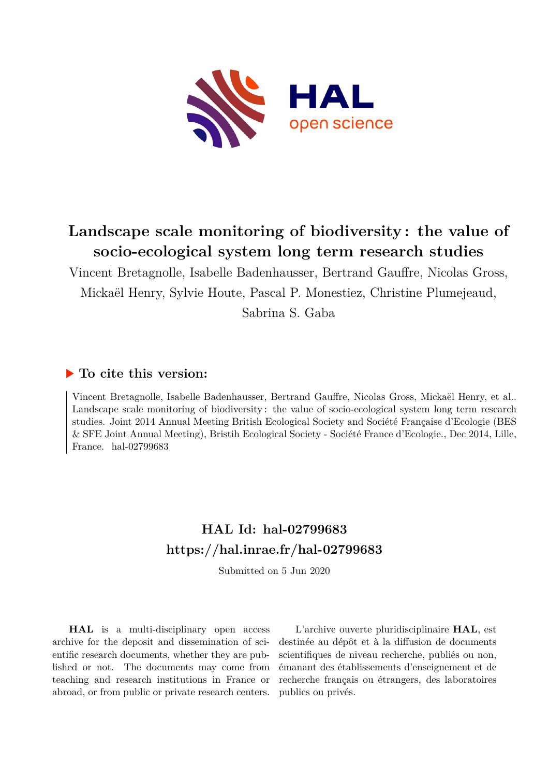

## **Landscape scale monitoring of biodiversity : the value of socio-ecological system long term research studies**

Vincent Bretagnolle, Isabelle Badenhausser, Bertrand Gauffre, Nicolas Gross, Mickaël Henry, Sylvie Houte, Pascal P. Monestiez, Christine Plumejeaud,

Sabrina S. Gaba

## **To cite this version:**

Vincent Bretagnolle, Isabelle Badenhausser, Bertrand Gauffre, Nicolas Gross, Mickaël Henry, et al.. Landscape scale monitoring of biodiversity : the value of socio-ecological system long term research studies. Joint 2014 Annual Meeting British Ecological Society and Société Française d'Ecologie (BES & SFE Joint Annual Meeting), Bristih Ecological Society - Société France d'Ecologie., Dec 2014, Lille, France. hal-02799683

## **HAL Id: hal-02799683 <https://hal.inrae.fr/hal-02799683>**

Submitted on 5 Jun 2020

**HAL** is a multi-disciplinary open access archive for the deposit and dissemination of scientific research documents, whether they are published or not. The documents may come from teaching and research institutions in France or abroad, or from public or private research centers.

L'archive ouverte pluridisciplinaire **HAL**, est destinée au dépôt et à la diffusion de documents scientifiques de niveau recherche, publiés ou non, émanant des établissements d'enseignement et de recherche français ou étrangers, des laboratoires publics ou privés.